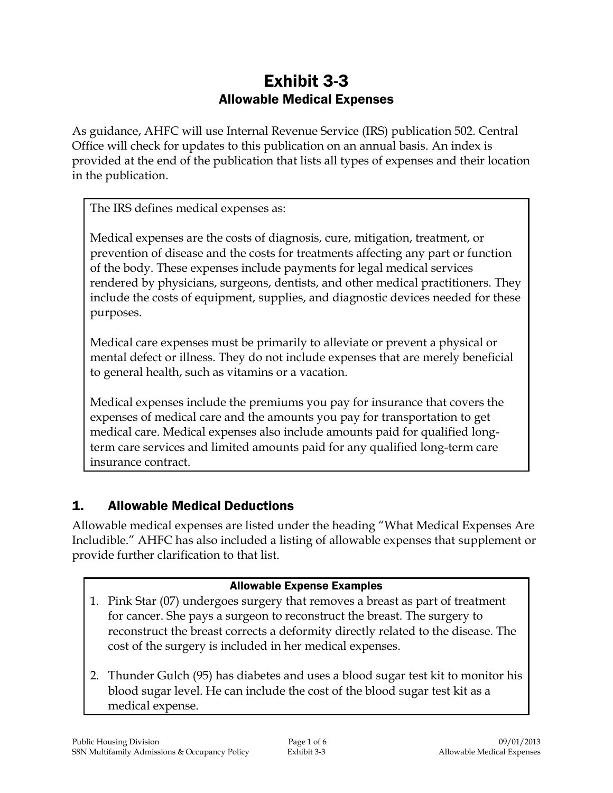# Exhibit 3-3 Allowable Medical Expenses

As guidance, AHFC will use Internal Revenue Service (IRS) publication 502. Central Office will check for updates to this publication on an annual basis. An index is provided at the end of the publication that lists all types of expenses and their location in the publication.

The IRS defines medical expenses as:

Medical expenses are the costs of diagnosis, cure, mitigation, treatment, or prevention of disease and the costs for treatments affecting any part or function of the body. These expenses include payments for legal medical services rendered by physicians, surgeons, dentists, and other medical practitioners. They include the costs of equipment, supplies, and diagnostic devices needed for these purposes.

Medical care expenses must be primarily to alleviate or prevent a physical or mental defect or illness. They do not include expenses that are merely beneficial to general health, such as vitamins or a vacation.

Medical expenses include the premiums you pay for insurance that covers the expenses of medical care and the amounts you pay for transportation to get medical care. Medical expenses also include amounts paid for qualified longterm care services and limited amounts paid for any qualified long-term care insurance contract.

## 1. Allowable Medical Deductions

Allowable medical expenses are listed under the heading "What Medical Expenses Are Includible." AHFC has also included a listing of allowable expenses that supplement or provide further clarification to that list.

#### Allowable Expense Examples

- 1. Pink Star (07) undergoes surgery that removes a breast as part of treatment for cancer. She pays a surgeon to reconstruct the breast. The surgery to reconstruct the breast corrects a deformity directly related to the disease. The cost of the surgery is included in her medical expenses.
- 2. Thunder Gulch (95) has diabetes and uses a blood sugar test kit to monitor his blood sugar level. He can include the cost of the blood sugar test kit as a medical expense.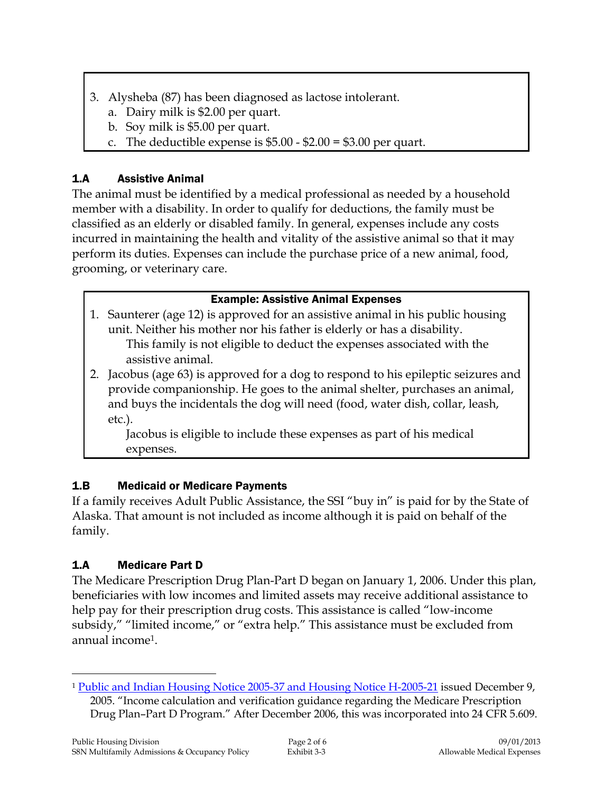- 3. Alysheba (87) has been diagnosed as lactose intolerant.
	- a. Dairy milk is \$2.00 per quart.
	- b. Soy milk is \$5.00 per quart.
	- c. The deductible expense is  $$5.00 $2.00 = $3.00$  per quart.

## 1.A Assistive Animal

The animal must be identified by a medical professional as needed by a household member with a disability. In order to qualify for deductions, the family must be classified as an elderly or disabled family. In general, expenses include any costs incurred in maintaining the health and vitality of the assistive animal so that it may perform its duties. Expenses can include the purchase price of a new animal, food, grooming, or veterinary care.

## Example: Assistive Animal Expenses

- 1. Saunterer (age 12) is approved for an assistive animal in his public housing unit. Neither his mother nor his father is elderly or has a disability. This family is not eligible to deduct the expenses associated with the assistive animal.
- 2. Jacobus (age 63) is approved for a dog to respond to his epileptic seizures and provide companionship. He goes to the animal shelter, purchases an animal, and buys the incidentals the dog will need (food, water dish, collar, leash, etc.).

Jacobus is eligible to include these expenses as part of his medical expenses.

# 1.B Medicaid or Medicare Payments

If a family receives Adult Public Assistance, the SSI "buy in" is paid for by the State of Alaska. That amount is not included as income although it is paid on behalf of the family.

# 1.A Medicare Part D

The Medicare Prescription Drug Plan-Part D began on January 1, 2006. Under this plan, beneficiaries with low incomes and limited assets may receive additional assistance to help pay for their prescription drug costs. This assistance is called "low-income subsidy," "limited income," or "extra help." This assistance must be excluded from annual income1.

 $\overline{a}$ <sup>1</sup> [Public and Indian Housing Notice 2005-37 and Housing Notice H-2005-21](https://intranet/download_file/17909) issued December 9, 2005. "Income calculation and verification guidance regarding the Medicare Prescription Drug Plan–Part D Program." After December 2006, this was incorporated into 24 CFR 5.609.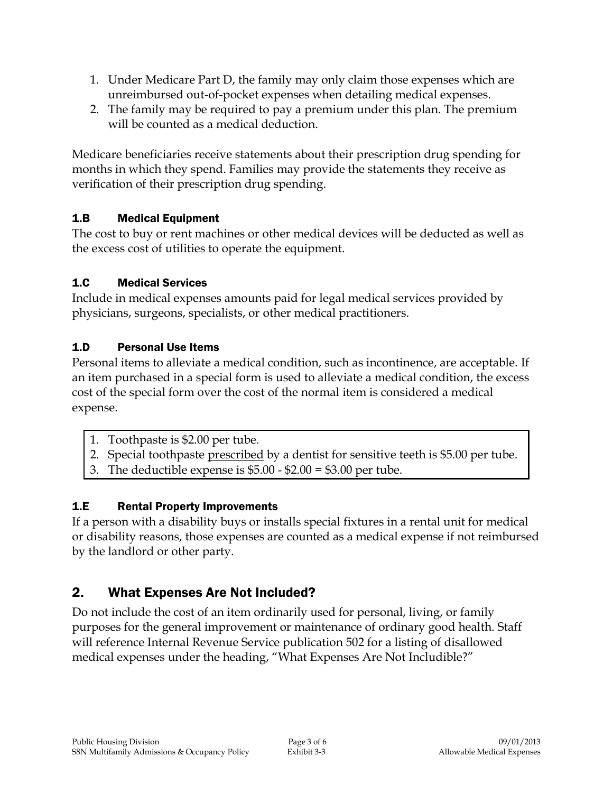- 1. Under Medicare Part D, the family may only claim those expenses which are unreimbursed out-of-pocket expenses when detailing medical expenses.
- 2. The family may be required to pay a premium under this plan. The premium will be counted as a medical deduction.

Medicare beneficiaries receive statements about their prescription drug spending for months in which they spend. Families may provide the statements they receive as verification of their prescription drug spending.

## 1.B Medical Equipment

The cost to buy or rent machines or other medical devices will be deducted as well as the excess cost of utilities to operate the equipment.

## 1.C Medical Services

Include in medical expenses amounts paid for legal medical services provided by physicians, surgeons, specialists, or other medical practitioners.

## 1.D Personal Use Items

Personal items to alleviate a medical condition, such as incontinence, are acceptable. If an item purchased in a special form is used to alleviate a medical condition, the excess cost of the special form over the cost of the normal item is considered a medical expense.

- 1. Toothpaste is \$2.00 per tube.
- 2. Special toothpaste prescribed by a dentist for sensitive teeth is \$5.00 per tube.
- 3. The deductible expense is  $$5.00 $2.00 = $3.00$  per tube.

## 1.E Rental Property Improvements

If a person with a disability buys or installs special fixtures in a rental unit for medical or disability reasons, those expenses are counted as a medical expense if not reimbursed by the landlord or other party.

# 2. What Expenses Are Not Included?

Do not include the cost of an item ordinarily used for personal, living, or family purposes for the general improvement or maintenance of ordinary good health. Staff will reference Internal Revenue Service publication 502 for a listing of disallowed medical expenses under the heading, "What Expenses Are Not Includible?"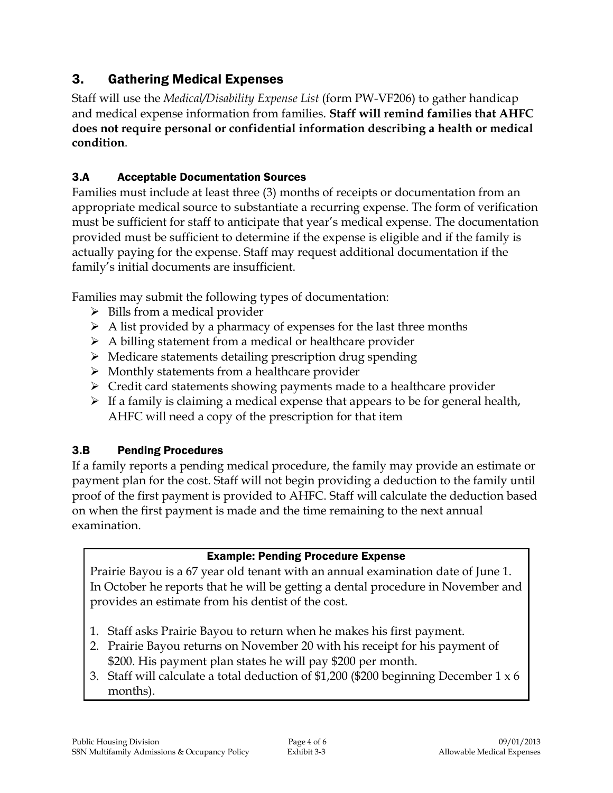# 3. Gathering Medical Expenses

Staff will use the *Medical/Disability Expense List* (form PW-VF206) to gather handicap and medical expense information from families. **Staff will remind families that AHFC does not require personal or confidential information describing a health or medical condition**.

## 3.A Acceptable Documentation Sources

Families must include at least three (3) months of receipts or documentation from an appropriate medical source to substantiate a recurring expense. The form of verification must be sufficient for staff to anticipate that year's medical expense. The documentation provided must be sufficient to determine if the expense is eligible and if the family is actually paying for the expense. Staff may request additional documentation if the family's initial documents are insufficient.

Families may submit the following types of documentation:

- $\triangleright$  Bills from a medical provider
- $\triangleright$  A list provided by a pharmacy of expenses for the last three months
- $\triangleright$  A billing statement from a medical or healthcare provider
- Medicare statements detailing prescription drug spending
- $\triangleright$  Monthly statements from a healthcare provider
- $\triangleright$  Credit card statements showing payments made to a healthcare provider
- $\triangleright$  If a family is claiming a medical expense that appears to be for general health, AHFC will need a copy of the prescription for that item

#### 3.B Pending Procedures

If a family reports a pending medical procedure, the family may provide an estimate or payment plan for the cost. Staff will not begin providing a deduction to the family until proof of the first payment is provided to AHFC. Staff will calculate the deduction based on when the first payment is made and the time remaining to the next annual examination.

#### Example: Pending Procedure Expense

Prairie Bayou is a 67 year old tenant with an annual examination date of June 1. In October he reports that he will be getting a dental procedure in November and provides an estimate from his dentist of the cost.

- 1. Staff asks Prairie Bayou to return when he makes his first payment.
- 2. Prairie Bayou returns on November 20 with his receipt for his payment of \$200. His payment plan states he will pay \$200 per month.
- 3. Staff will calculate a total deduction of \$1,200 (\$200 beginning December 1 x 6 months).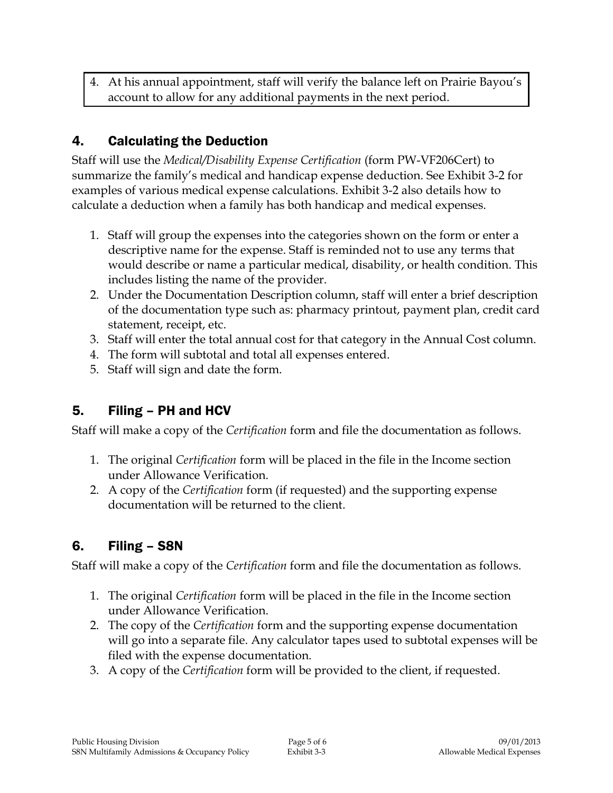4. At his annual appointment, staff will verify the balance left on Prairie Bayou's account to allow for any additional payments in the next period.

# 4. Calculating the Deduction

Staff will use the *Medical/Disability Expense Certification* (form PW-VF206Cert) to summarize the family's medical and handicap expense deduction. See Exhibit 3-2 for examples of various medical expense calculations. Exhibit 3-2 also details how to calculate a deduction when a family has both handicap and medical expenses.

- 1. Staff will group the expenses into the categories shown on the form or enter a descriptive name for the expense. Staff is reminded not to use any terms that would describe or name a particular medical, disability, or health condition. This includes listing the name of the provider.
- 2. Under the Documentation Description column, staff will enter a brief description of the documentation type such as: pharmacy printout, payment plan, credit card statement, receipt, etc.
- 3. Staff will enter the total annual cost for that category in the Annual Cost column.
- 4. The form will subtotal and total all expenses entered.
- 5. Staff will sign and date the form.

# 5. Filing – PH and HCV

Staff will make a copy of the *Certification* form and file the documentation as follows.

- 1. The original *Certification* form will be placed in the file in the Income section under Allowance Verification.
- 2. A copy of the *Certification* form (if requested) and the supporting expense documentation will be returned to the client.

# 6. Filing – S8N

Staff will make a copy of the *Certification* form and file the documentation as follows.

- 1. The original *Certification* form will be placed in the file in the Income section under Allowance Verification.
- 2. The copy of the *Certification* form and the supporting expense documentation will go into a separate file. Any calculator tapes used to subtotal expenses will be filed with the expense documentation.
- 3. A copy of the *Certification* form will be provided to the client, if requested.